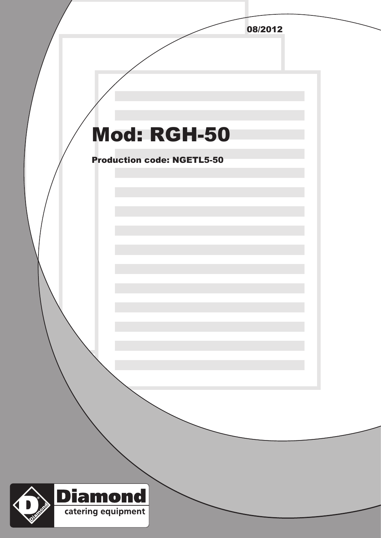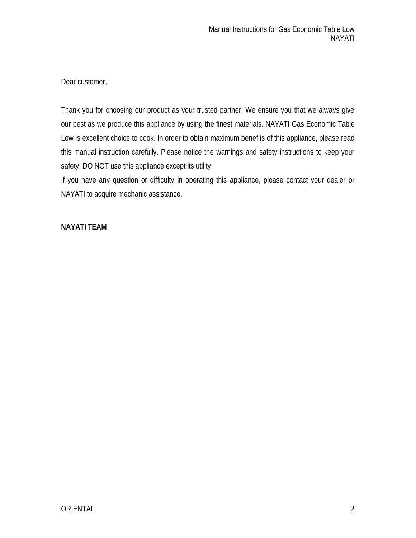Dear customer,

Thank you for choosing our product as your trusted partner. We ensure you that we always give our best as we produce this appliance by using the finest materials. NAYATI Gas Economic Table Low is excellent choice to cook. In order to obtain maximum benefits of this appliance, please read this manual instruction carefully. Please notice the warnings and safety instructions to keep your safety. DO NOT use this appliance except its utility.

If you have any question or difficulty in operating this appliance, please contact your dealer or NAYATI to acquire mechanic assistance.

## **NAYATI TEAM**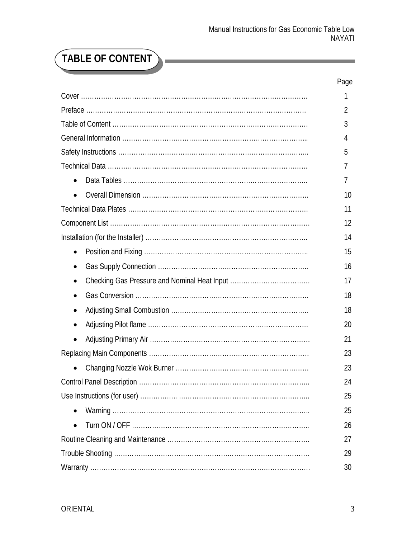Ĩ.

# **TABLE OF CONTENT**

Ē

|           | Page     |
|-----------|----------|
|           | 1        |
|           | 2        |
|           | 3        |
|           | 4        |
|           | 5        |
|           | $\prime$ |
| $\bullet$ | 7        |
| $\bullet$ | 10       |
|           | 11       |
|           | 12       |
|           | 14       |
| $\bullet$ | 15       |
| ٠         | 16       |
| $\bullet$ | 17       |
| $\bullet$ | 18       |
| $\bullet$ | 18       |
| $\bullet$ | 20       |
| $\bullet$ | 21       |
|           | 23       |
|           | 23       |
|           | 24       |
|           | 25       |
| $\bullet$ | 25       |
|           | 26       |
|           | 27       |
|           | 29       |
|           | 30       |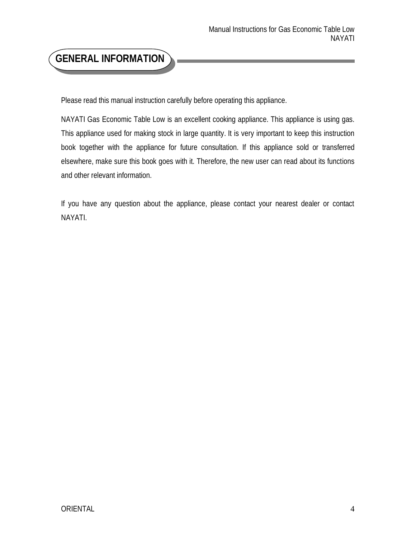## **GENERAL INFORMATION**

Please read this manual instruction carefully before operating this appliance.

NAYATI Gas Economic Table Low is an excellent cooking appliance. This appliance is using gas. This appliance used for making stock in large quantity. It is very important to keep this instruction book together with the appliance for future consultation. If this appliance sold or transferred elsewhere, make sure this book goes with it. Therefore, the new user can read about its functions and other relevant information.

If you have any question about the appliance, please contact your nearest dealer or contact NAYATI.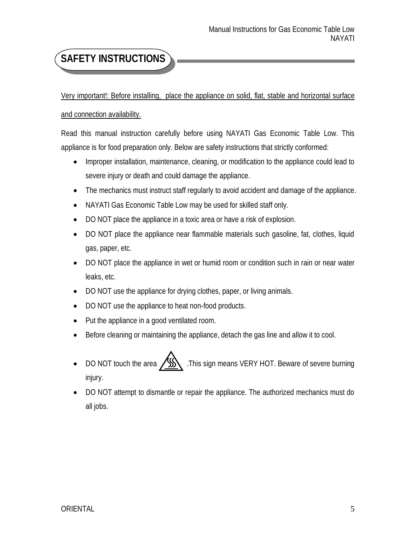## **SAFETY INSTRUCTIONS**

Very important!: Before installing, place the appliance on solid, flat, stable and horizontal surface

#### and connection availability.

Read this manual instruction carefully before using NAYATI Gas Economic Table Low. This appliance is for food preparation only. Below are safety instructions that strictly conformed:

- Improper installation, maintenance, cleaning, or modification to the appliance could lead to severe injury or death and could damage the appliance.
- The mechanics must instruct staff regularly to avoid accident and damage of the appliance.
- NAYATI Gas Economic Table Low may be used for skilled staff only.
- DO NOT place the appliance in a toxic area or have a risk of explosion.
- DO NOT place the appliance near flammable materials such gasoline, fat, clothes, liquid gas, paper, etc.
- DO NOT place the appliance in wet or humid room or condition such in rain or near water leaks, etc.
- DO NOT use the appliance for drying clothes, paper, or living animals.
- DO NOT use the appliance to heat non-food products.
- Put the appliance in a good ventilated room.
- Before cleaning or maintaining the appliance, detach the gas line and allow it to cool.
- DO NOT touch the area  $\sqrt{\frac{1}{N}}$ . This sign means VERY HOT. Beware of severe burning injury.
- DO NOT attempt to dismantle or repair the appliance. The authorized mechanics must do all jobs.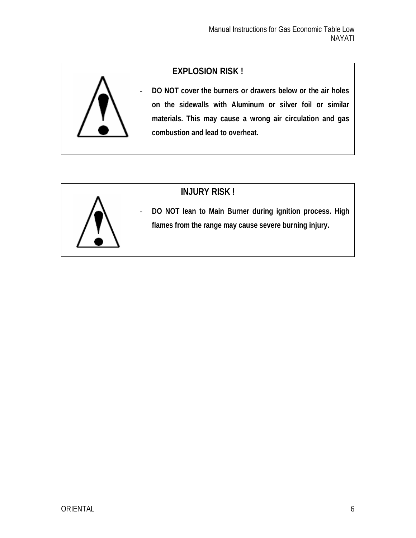## **EXPLOSION RISK !**



- **DO NOT cover the burners or drawers below or the air holes on the sidewalls with Aluminum or silver foil or similar materials. This may cause a wrong air circulation and gas combustion and lead to overheat.**



## **INJURY RISK !**

- **DO NOT lean to Main Burner during ignition process. High flames from the range may cause severe burning injury.**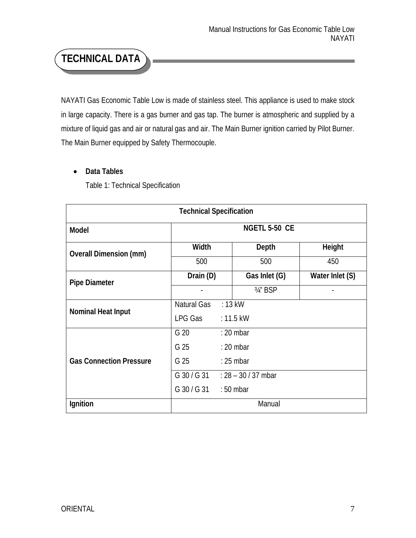## **TECHNICAL DATA**

NAYATI Gas Economic Table Low is made of stainless steel. This appliance is used to make stock in large capacity. There is a gas burner and gas tap. The burner is atmospheric and supplied by a mixture of liquid gas and air or natural gas and air. The Main Burner ignition carried by Pilot Burner. The Main Burner equipped by Safety Thermocouple.

### **Data Tables**

Table 1: Technical Specification

| <b>Technical Specification</b> |                       |                       |                 |  |  |
|--------------------------------|-----------------------|-----------------------|-----------------|--|--|
| <b>Model</b>                   | <b>NGETL 5-50 CE</b>  |                       |                 |  |  |
| <b>Overall Dimension (mm)</b>  | <b>Width</b>          | <b>Depth</b>          | <b>Height</b>   |  |  |
|                                | 500                   | 500                   | 450             |  |  |
| <b>Pipe Diameter</b>           | Drain (D)             | Gas Inlet (G)         | Water Inlet (S) |  |  |
|                                |                       | 3/4" BSP              |                 |  |  |
| <b>Nominal Heat Input</b>      | Natural Gas           | $: 13$ kW             |                 |  |  |
|                                | LPG Gas               | $: 11.5$ kW           |                 |  |  |
|                                | G 20                  | $: 20$ mbar           |                 |  |  |
|                                | G 25                  | $: 20$ mbar           |                 |  |  |
| <b>Gas Connection Pressure</b> | G 25                  | $: 25$ mbar           |                 |  |  |
|                                | G 30 / G 31           | $: 28 - 30 / 37$ mbar |                 |  |  |
|                                | G 30 / G 31 : 50 mbar |                       |                 |  |  |
| <b>Ignition</b>                | Manual                |                       |                 |  |  |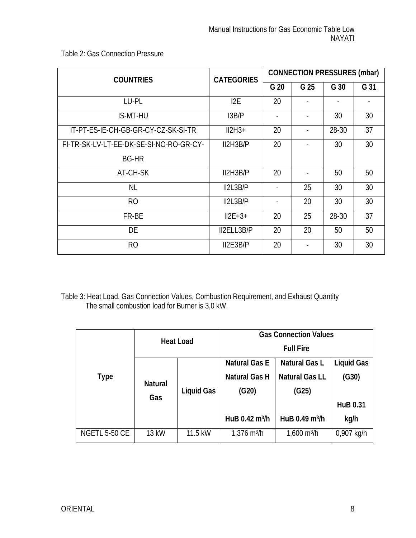Table 2: Gas Connection Pressure

| <b>COUNTRIES</b>                        | <b>CATEGORIES</b> | <b>CONNECTION PRESSURES (mbar)</b> |      |       |      |  |
|-----------------------------------------|-------------------|------------------------------------|------|-------|------|--|
|                                         |                   | G 20                               | G 25 | G 30  | G 31 |  |
| LU-PL                                   | 12E               | 20                                 |      |       |      |  |
| <b>IS-MT-HU</b>                         | 13B/P             |                                    |      | 30    | 30   |  |
| IT-PT-ES-IE-CH-GB-GR-CY-CZ-SK-SI-TR     | $II2H3+$          | 20                                 |      | 28-30 | 37   |  |
| FI-TR-SK-LV-LT-EE-DK-SE-SI-NO-RO-GR-CY- | II2H3B/P          | 20                                 |      | 30    | 30   |  |
| <b>BG-HR</b>                            |                   |                                    |      |       |      |  |
| AT-CH-SK                                | II2H3B/P          | 20                                 |      | 50    | 50   |  |
| <b>NL</b>                               | II2L3B/P          |                                    | 25   | 30    | 30   |  |
| R <sub>O</sub>                          | I12L3B/P          |                                    | 20   | 30    | 30   |  |
| FR-BE                                   | $II2E+3+$         | 20                                 | 25   | 28-30 | 37   |  |
| DE                                      | II2ELL3B/P        | 20                                 | 20   | 50    | 50   |  |
| R <sub>O</sub>                          | I2E3B/P           | 20                                 |      | 30    | 30   |  |

Table 3: Heat Load, Gas Connection Values, Combustion Requirement, and Exhaust Quantity The small combustion load for Burner is 3,0 kW.

|                      | <b>Heat Load</b>      |                   | <b>Gas Connection Values</b>    |                              |                   |  |
|----------------------|-----------------------|-------------------|---------------------------------|------------------------------|-------------------|--|
|                      |                       |                   | <b>Full Fire</b>                |                              |                   |  |
|                      |                       |                   | <b>Natural Gas E</b>            | <b>Natural Gas L</b>         | <b>Liquid Gas</b> |  |
| Type                 |                       | <b>Liquid Gas</b> | <b>Natural Gas H</b>            | <b>Natural Gas LL</b>        | (G30)             |  |
|                      | <b>Natural</b><br>Gas |                   | (G20)                           | (G25)                        |                   |  |
|                      |                       |                   |                                 |                              | <b>HuB 0.31</b>   |  |
|                      |                       |                   | HuB $0.42 \text{ m}^3/\text{h}$ | HuB 0.49 m <sup>3</sup> /h   | kg/h              |  |
| <b>NGETL 5-50 CE</b> | 13 kW                 | 11.5 kW           | $1,376 \text{ m}^3/\text{h}$    | $1,600 \text{ m}^3/\text{h}$ | 0,907 kg/h        |  |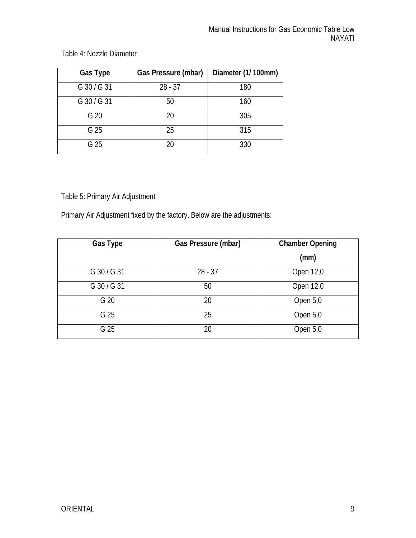| <b>Gas Type</b> | <b>Gas Pressure (mbar)</b> | Diameter (1/100mm) |
|-----------------|----------------------------|--------------------|
| G 30 / G 31     | $28 - 37$                  | 180                |
| G 30 / G 31     | 50                         | 160                |
| G <sub>20</sub> | 20                         | 305                |
| G 25            | 25                         | 315                |
| G 25            | 20                         | 330                |

Table 4: Nozzle Diameter

Table 5: Primary Air Adjustment

Primary Air Adjustment fixed by the factory. Below are the adjustments:

| <b>Gas Type</b> | <b>Gas Pressure (mbar)</b> | <b>Chamber Opening</b> |
|-----------------|----------------------------|------------------------|
|                 |                            | (mm)                   |
| G 30 / G 31     | $28 - 37$                  | Open 12,0              |
| G 30 / G 31     | 50                         | Open 12,0              |
| G 20            | 20                         | Open 5,0               |
| G 25            | 25                         | Open 5,0               |
| G 25            | 20                         | Open 5,0               |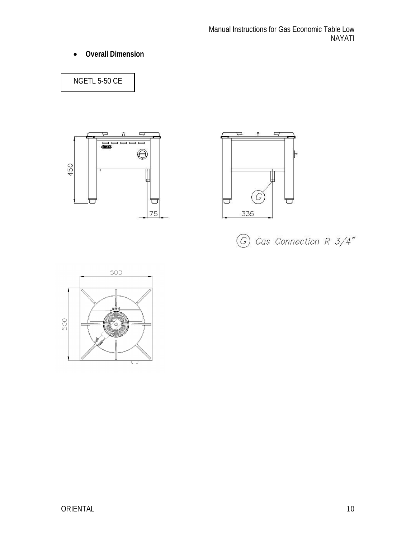**Overall Dimension**

NGETL 5-50 CE







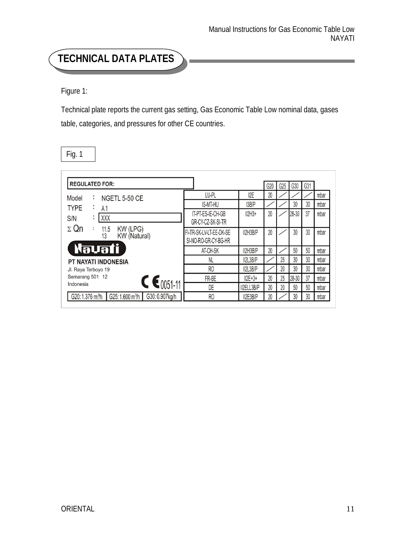## **TECHNICAL DATA PLATES**

Figure 1:

Technical plate reports the current gas setting, Gas Economic Table Low nominal data, gases table, categories, and pressures for other CE countries.

| <b>REGULATED FOR:</b>                                                        |                                                 |                  | G20 | G25 | G30   | G31 |      |
|------------------------------------------------------------------------------|-------------------------------------------------|------------------|-----|-----|-------|-----|------|
| Model<br>÷<br><b>NGETL 5-50 CE</b>                                           | LU-PL                                           | I <sub>2</sub> E | 20  |     |       |     | mbar |
| <b>TYPE</b><br>A <sub>1</sub><br>$\sim$                                      | <b>IS-MT-HU</b>                                 | 13B/P            |     |     | 30    | 30  | mbar |
| $\mathsf{XXX}$<br>٠<br>S/N<br>$\blacksquare$                                 | IT-PT-ES-IE-CH-GB<br>GR-CY-CZ-SK-SI-TR          | $II2H3+$         | 20  |     | 28-30 | 37  | mbar |
| $\Sigma$ Qn<br>KW (LPG)<br>KW (Natural)<br>:<br>11.5<br>13                   | FI-TR-SK-LV-LT-EE-DK-SE<br>SI-NO-RO-GR-CY-BG-HR | II2H3B/P         | 20  |     | 30    | 30  | mbar |
| <b>Navati</b>                                                                | AT-CH-SK                                        | II2H3B/P         | 20  |     | 50    | 50  | mbar |
| <b>PT NAYATI INDONESIA</b>                                                   | NL                                              | IIZL3B/P         |     | 25  | 30    | 30  | mbar |
| Jl. Raya Terboyo 19                                                          | R <sub>0</sub>                                  | IIZL3B/P         |     | 20  | 30    | 30  | mbar |
| Semarang 501 12<br>$C \epsilon_{0051-11}$                                    | FR-BE                                           | $II2E + 3 +$     | 20  | 25  | 28-30 | 37  | mbar |
| Indonesia                                                                    | DE                                              | II2ELL3B/P       | 20  | 20  | 50    | 50  | mbar |
| G30: 0.907kg/h<br>G25:1.600 m <sup>3</sup> /h<br>G20:1.376 m <sup>3</sup> /h | R <sub>0</sub>                                  | II2E3B/P         | 20  |     | 30    | 30  | mbar |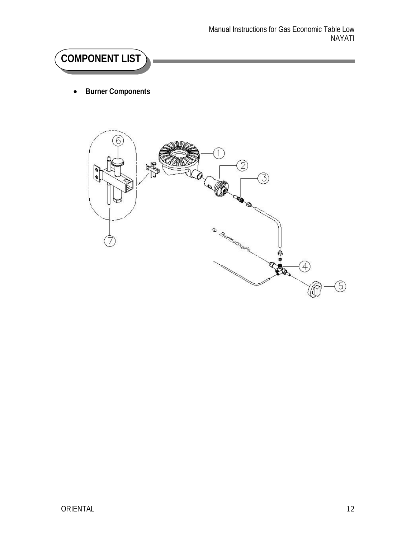# **COMPONENT LIST**

**Burner Components**

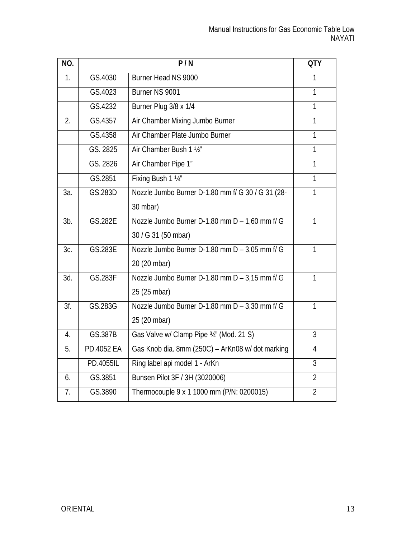| NO.            |            | P/N                                               | <b>QTY</b>     |
|----------------|------------|---------------------------------------------------|----------------|
| $\mathbf{1}$ . | GS.4030    | Burner Head NS 9000                               | 1              |
|                | GS.4023    | Burner NS 9001                                    | 1              |
|                | GS.4232    | Burner Plug 3/8 x 1/4                             | $\overline{1}$ |
| 2.             | GS.4357    | Air Chamber Mixing Jumbo Burner                   | $\mathbf{1}$   |
|                | GS.4358    | Air Chamber Plate Jumbo Burner                    | 1              |
|                | GS. 2825   | Air Chamber Bush 1 1/2"                           | $\mathbf{1}$   |
|                | GS. 2826   | Air Chamber Pipe 1"                               | 1              |
|                | GS.2851    | Fixing Bush 1 1/4"                                | $\mathbf{1}$   |
| За.            | GS.283D    | Nozzle Jumbo Burner D-1.80 mm f/ G 30 / G 31 (28- | 1              |
|                |            | 30 mbar)                                          |                |
| $3b$ .         | GS.282E    | Nozzle Jumbo Burner D-1.80 mm D - 1,60 mm f/ G    | 1              |
|                |            | 30 / G 31 (50 mbar)                               |                |
| 3c.            | GS.283E    | Nozzle Jumbo Burner D-1.80 mm D - 3,05 mm f/ G    | $\mathbf{1}$   |
|                |            | 20 (20 mbar)                                      |                |
| 3d.            | GS.283F    | Nozzle Jumbo Burner D-1.80 mm D - 3,15 mm f/ G    | $\mathbf{1}$   |
|                |            | 25 (25 mbar)                                      |                |
| 3f.            | GS.283G    | Nozzle Jumbo Burner D-1.80 mm D - 3,30 mm f/ G    | $\mathbf{1}$   |
|                |            | 25 (20 mbar)                                      |                |
| 4.             | GS.387B    | Gas Valve w/ Clamp Pipe 34" (Mod. 21 S)           | 3              |
| 5.             | PD.4052 EA | Gas Knob dia. 8mm (250C) - ArKn08 w/ dot marking  | $\overline{4}$ |
|                | PD.4055IL  | Ring label api model 1 - ArKn                     | $\overline{3}$ |
| 6.             | GS.3851    | Bunsen Pilot 3F / 3H (3020006)                    | $\overline{2}$ |
| 7.             | GS.3890    | Thermocouple 9 x 1 1000 mm (P/N: 0200015)         | $\overline{2}$ |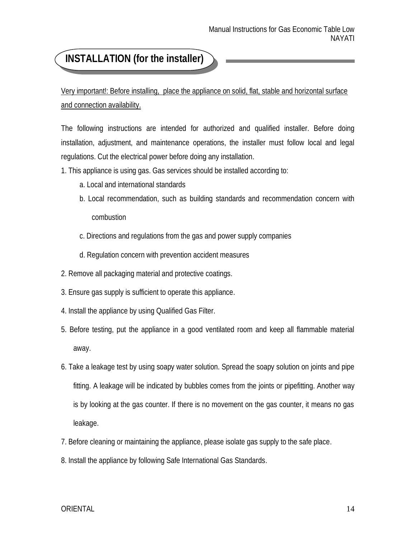## **INSTALLATION (for the installer)**

Very important!: Before installing, place the appliance on solid, flat, stable and horizontal surface and connection availability.

The following instructions are intended for authorized and qualified installer. Before doing installation, adjustment, and maintenance operations, the installer must follow local and legal regulations. Cut the electrical power before doing any installation.

- 1. This appliance is using gas. Gas services should be installed according to:
	- a. Local and international standards
	- b. Local recommendation, such as building standards and recommendation concern with combustion
	- c. Directions and regulations from the gas and power supply companies
	- d. Regulation concern with prevention accident measures
- 2. Remove all packaging material and protective coatings.
- 3. Ensure gas supply is sufficient to operate this appliance.
- 4. Install the appliance by using Qualified Gas Filter.
- 5. Before testing, put the appliance in a good ventilated room and keep all flammable material away.
- 6. Take a leakage test by using soapy water solution. Spread the soapy solution on joints and pipe fitting. A leakage will be indicated by bubbles comes from the joints or pipefitting. Another way is by looking at the gas counter. If there is no movement on the gas counter, it means no gas leakage.
- 7. Before cleaning or maintaining the appliance, please isolate gas supply to the safe place.
- 8. Install the appliance by following Safe International Gas Standards.

#### ORIENTAL 14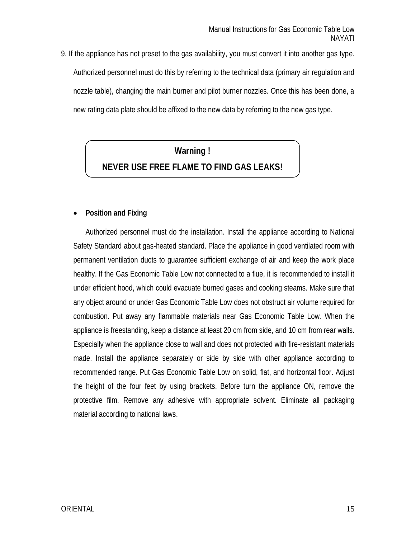9. If the appliance has not preset to the gas availability, you must convert it into another gas type. Authorized personnel must do this by referring to the technical data (primary air regulation and nozzle table), changing the main burner and pilot burner nozzles. Once this has been done, a new rating data plate should be affixed to the new data by referring to the new gas type.

## **Warning !**

## **NEVER USE FREE FLAME TO FIND GAS LEAKS!**

#### **Position and Fixing**

Authorized personnel must do the installation. Install the appliance according to National Safety Standard about gas-heated standard. Place the appliance in good ventilated room with permanent ventilation ducts to guarantee sufficient exchange of air and keep the work place healthy. If the Gas Economic Table Low not connected to a flue, it is recommended to install it under efficient hood, which could evacuate burned gases and cooking steams. Make sure that any object around or under Gas Economic Table Low does not obstruct air volume required for combustion. Put away any flammable materials near Gas Economic Table Low. When the appliance is freestanding, keep a distance at least 20 cm from side, and 10 cm from rear walls. Especially when the appliance close to wall and does not protected with fire-resistant materials made. Install the appliance separately or side by side with other appliance according to recommended range. Put Gas Economic Table Low on solid, flat, and horizontal floor. Adjust the height of the four feet by using brackets. Before turn the appliance ON, remove the protective film. Remove any adhesive with appropriate solvent. Eliminate all packaging material according to national laws.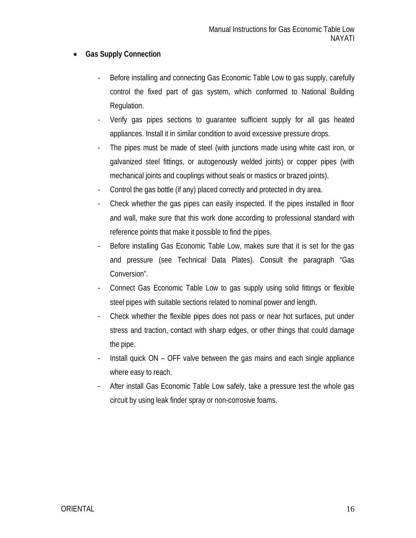### **Gas Supply Connection**

- Before installing and connecting Gas Economic Table Low to gas supply, carefully control the fixed part of gas system, which conformed to National Building Regulation.
- Verify gas pipes sections to guarantee sufficient supply for all gas heated appliances. Install it in similar condition to avoid excessive pressure drops.
- The pipes must be made of steel (with junctions made using white cast iron, or galvanized steel fittings, or autogenously welded joints) or copper pipes (with mechanical joints and couplings without seals or mastics or brazed joints).
- Control the gas bottle (if any) placed correctly and protected in dry area.
- Check whether the gas pipes can easily inspected. If the pipes installed in floor and wall, make sure that this work done according to professional standard with reference points that make it possible to find the pipes.
- Before installing Gas Economic Table Low, makes sure that it is set for the gas and pressure (see Technical Data Plates). Consult the paragraph "Gas Conversion".
- Connect Gas Economic Table Low to gas supply using solid fittings or flexible steel pipes with suitable sections related to nominal power and length.
- Check whether the flexible pipes does not pass or near hot surfaces, put under stress and traction, contact with sharp edges, or other things that could damage the pipe.
- Install quick ON OFF valve between the gas mains and each single appliance where easy to reach.
- After install Gas Economic Table Low safely, take a pressure test the whole gas circuit by using leak finder spray or non-corrosive foams.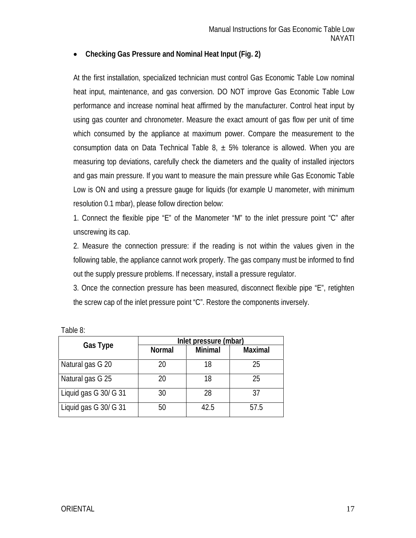#### **Checking Gas Pressure and Nominal Heat Input (Fig. 2)**

At the first installation, specialized technician must control Gas Economic Table Low nominal heat input, maintenance, and gas conversion. DO NOT improve Gas Economic Table Low performance and increase nominal heat affirmed by the manufacturer. Control heat input by using gas counter and chronometer. Measure the exact amount of gas flow per unit of time which consumed by the appliance at maximum power. Compare the measurement to the consumption data on Data Technical Table 8,  $\pm$  5% tolerance is allowed. When you are measuring top deviations, carefully check the diameters and the quality of installed injectors and gas main pressure. If you want to measure the main pressure while Gas Economic Table Low is ON and using a pressure gauge for liquids (for example U manometer, with minimum resolution 0.1 mbar), please follow direction below:

1. Connect the flexible pipe "E" of the Manometer "M" to the inlet pressure point "C" after unscrewing its cap.

2. Measure the connection pressure: if the reading is not within the values given in the following table, the appliance cannot work properly. The gas company must be informed to find out the supply pressure problems. If necessary, install a pressure regulator.

3. Once the connection pressure has been measured, disconnect flexible pipe "E", retighten the screw cap of the inlet pressure point "C". Restore the components inversely.

|                       | Inlet pressure (mbar) |                |                |  |  |
|-----------------------|-----------------------|----------------|----------------|--|--|
| <b>Gas Type</b>       | <b>Normal</b>         | <b>Minimal</b> | <b>Maximal</b> |  |  |
| Natural gas G 20      | 20                    | 18             | 25             |  |  |
| Natural gas G 25      | 20                    | 18             | 25             |  |  |
| Liquid gas G 30/ G 31 | 30                    | 28             | 37             |  |  |
| Liquid gas G 30/ G 31 | 50                    | 42.5           | 57.5           |  |  |

| Table 8: |  |
|----------|--|
|          |  |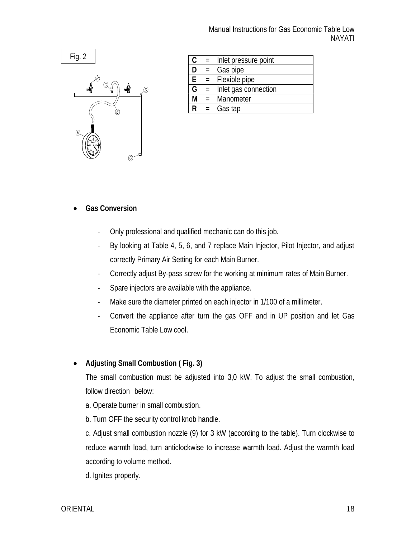

| Manual Instructions for Gas Economic Table Low |  |               |
|------------------------------------------------|--|---------------|
|                                                |  | <b>NAYATI</b> |

| C  | $=$             | Inlet pressure point |  |
|----|-----------------|----------------------|--|
| D  | $=$             | Gas pipe             |  |
| E  |                 | $=$ Flexible pipe    |  |
| G  | $\equiv$ $^{-}$ | Inlet gas connection |  |
| M  |                 | = Manometer          |  |
| R. | $=$             | Gas tap              |  |
|    |                 |                      |  |

#### **Gas Conversion**

- Only professional and qualified mechanic can do this job.
- By looking at Table 4, 5, 6, and 7 replace Main Injector, Pilot Injector, and adjust correctly Primary Air Setting for each Main Burner.
- Correctly adjust By-pass screw for the working at minimum rates of Main Burner.
- Spare injectors are available with the appliance.
- Make sure the diameter printed on each injector in 1/100 of a millimeter.
- Convert the appliance after turn the gas OFF and in UP position and let Gas Economic Table Low cool.

#### **Adjusting Small Combustion ( Fig. 3)**

The small combustion must be adjusted into 3,0 kW. To adjust the small combustion, follow direction below:

- a. Operate burner in small combustion.
- b. Turn OFF the security control knob handle.

c. Adjust small combustion nozzle (9) for 3 kW (according to the table). Turn clockwise to reduce warmth load, turn anticlockwise to increase warmth load. Adjust the warmth load according to volume method.

d. Ignites properly.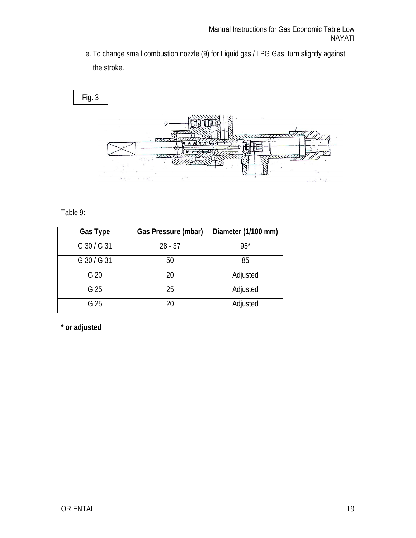e. To change small combustion nozzle (9) for Liquid gas / LPG Gas, turn slightly against the stroke.



### Table 9:

| <b>Gas Type</b> | <b>Gas Pressure (mbar)</b> | Diameter (1/100 mm) |
|-----------------|----------------------------|---------------------|
| G 30 / G 31     | $28 - 37$                  | $95*$               |
| G 30 / G 31     | 50                         | 85                  |
| G 20            | 20                         | Adjusted            |
| G 25            | 25                         | Adjusted            |
| G 25            | 20                         | Adjusted            |

**\* or adjusted**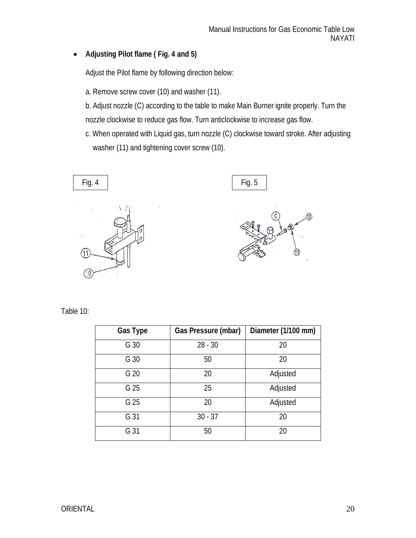## **Adjusting Pilot flame ( Fig. 4 and 5)**

Adjust the Pilot flame by following direction below:

a. Remove screw cover (10) and washer (11).

b. Adjust nozzle (C) according to the table to make Main Burner ignite properly. Turn the nozzle clockwise to reduce gas flow. Turn anticlockwise to increase gas flow.

c. When operated with Liquid gas, turn nozzle (C) clockwise toward stroke. After adjusting washer (11) and tightening cover screw (10).





Table 10:

| <b>Gas Type</b> | <b>Gas Pressure (mbar)</b> | Diameter (1/100 mm) |
|-----------------|----------------------------|---------------------|
| G 30            | $28 - 30$                  | 20                  |
| G 30            | 50                         | 20                  |
| G 20            | 20                         | Adjusted            |
| G 25            | 25                         | Adjusted            |
| G 25            | 20                         | Adjusted            |
| G 31            | $30 - 37$                  | 20                  |
| G 31            | 50                         | 20                  |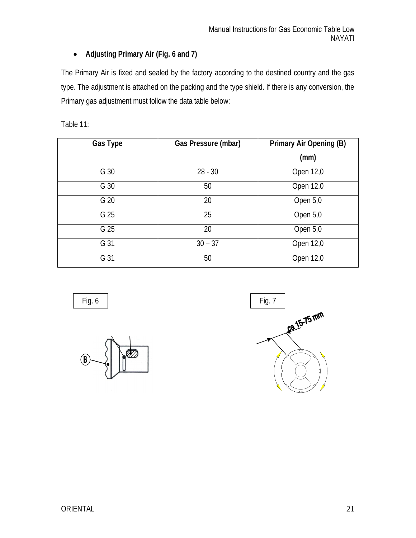## **Adjusting Primary Air (Fig. 6 and 7)**

The Primary Air is fixed and sealed by the factory according to the destined country and the gas type. The adjustment is attached on the packing and the type shield. If there is any conversion, the Primary gas adjustment must follow the data table below:

Table 11:

| <b>Gas Type</b> | Gas Pressure (mbar) | <b>Primary Air Opening (B)</b> |
|-----------------|---------------------|--------------------------------|
|                 |                     | (mm)                           |
| G 30            | $28 - 30$           | Open 12,0                      |
| G 30            | 50                  | Open 12,0                      |
| G 20            | 20                  | Open 5,0                       |
| G 25            | 25                  | Open 5,0                       |
| G 25            | 20                  | Open 5,0                       |
| G 31            | $30 - 37$           | Open 12,0                      |
| G 31            | 50                  | Open 12,0                      |



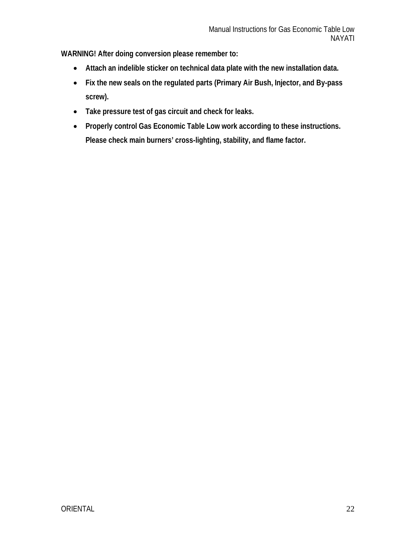**WARNING! After doing conversion please remember to:**

- **Attach an indelible sticker on technical data plate with the new installation data.**
- **Fix the new seals on the regulated parts (Primary Air Bush, Injector, and By-pass screw).**
- **Take pressure test of gas circuit and check for leaks.**
- **Properly control Gas Economic Table Low work according to these instructions. Please check main burners' cross-lighting, stability, and flame factor.**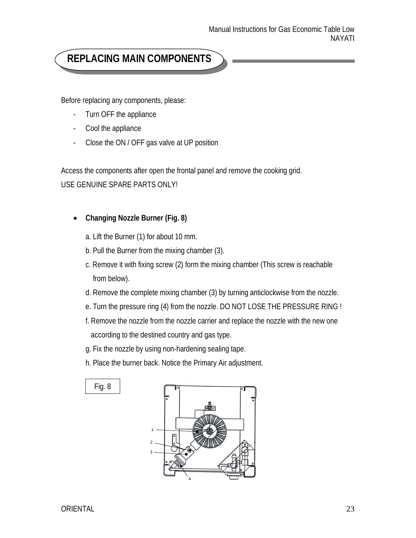## **REPLACING MAIN COMPONENTS**

Before replacing any components, please:

- Turn OFF the appliance
- Cool the appliance
- Close the ON / OFF gas valve at UP position

Access the components after open the frontal panel and remove the cooking grid. USE GENUINE SPARE PARTS ONLY!

### **Changing Nozzle Burner (Fig. 8)**

- a. Lift the Burner (1) for about 10 mm.
- b. Pull the Burner from the mixing chamber (3).
- c. Remove it with fixing screw (2) form the mixing chamber (This screw is reachable from below).
- d. Remove the complete mixing chamber (3) by turning anticlockwise from the nozzle.
- e. Turn the pressure ring (4) from the nozzle. DO NOT LOSE THE PRESSURE RING !
- f. Remove the nozzle from the nozzle carrier and replace the nozzle with the new one according to the destined country and gas type.
- g. Fix the nozzle by using non-hardening sealing tape.
- h. Place the burner back. Notice the Primary Air adjustment.



Fig. 8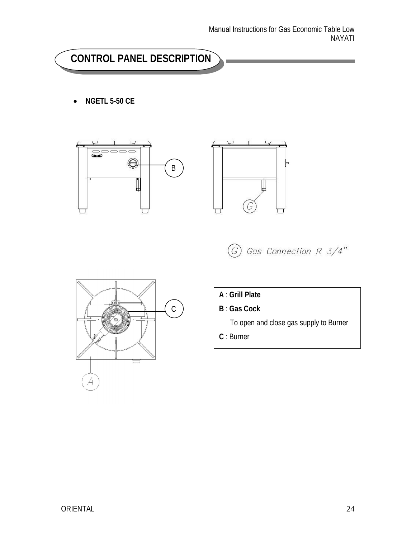## **CONTROL PANEL DESCRIPTION**

**NGETL 5-50 CE**









- **A** : **Grill Plate**
- **B** : **Gas Cock**

To open and close gas supply to Burner

**C** : Burner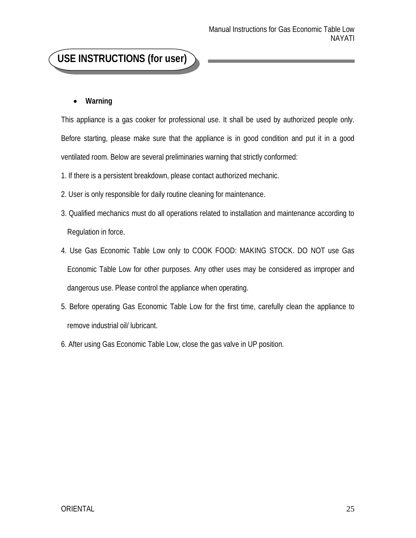## **USE INSTRUCTIONS (for user)**

### **Warning**

This appliance is a gas cooker for professional use. It shall be used by authorized people only. Before starting, please make sure that the appliance is in good condition and put it in a good ventilated room. Below are several preliminaries warning that strictly conformed:

1. If there is a persistent breakdown, please contact authorized mechanic.

- 2. User is only responsible for daily routine cleaning for maintenance.
- 3. Qualified mechanics must do all operations related to installation and maintenance according to Regulation in force.
- 4. Use Gas Economic Table Low only to COOK FOOD: MAKING STOCK. DO NOT use Gas Economic Table Low for other purposes. Any other uses may be considered as improper and dangerous use. Please control the appliance when operating.
- 5. Before operating Gas Economic Table Low for the first time, carefully clean the appliance to remove industrial oil/ lubricant.
- 6. After using Gas Economic Table Low, close the gas valve in UP position.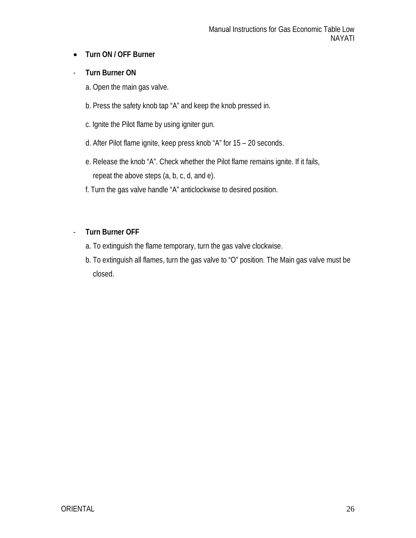## **Turn ON / OFF Burner**

### - **Turn Burner ON**

- a. Open the main gas valve.
- b. Press the safety knob tap "A" and keep the knob pressed in.
- c. Ignite the Pilot flame by using igniter gun.
- d. After Pilot flame ignite, keep press knob "A" for 15 20 seconds.
- e. Release the knob "A". Check whether the Pilot flame remains ignite. If it fails, repeat the above steps (a, b, c, d, and e).
- f. Turn the gas valve handle "A" anticlockwise to desired position.

### - **Turn Burner OFF**

- a. To extinguish the flame temporary, turn the gas valve clockwise.
- b. To extinguish all flames, turn the gas valve to "O" position. The Main gas valve must be closed.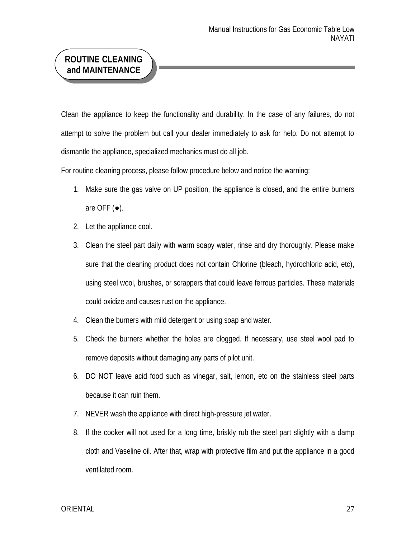## **ROUTINE CLEANING and MAINTENANCE**

Clean the appliance to keep the functionality and durability. In the case of any failures, do not attempt to solve the problem but call your dealer immediately to ask for help. Do not attempt to dismantle the appliance, specialized mechanics must do all job.

For routine cleaning process, please follow procedure below and notice the warning:

- 1. Make sure the gas valve on UP position, the appliance is closed, and the entire burners are OFF  $(\bullet)$ .
- 2. Let the appliance cool.
- 3. Clean the steel part daily with warm soapy water, rinse and dry thoroughly. Please make sure that the cleaning product does not contain Chlorine (bleach, hydrochloric acid, etc), using steel wool, brushes, or scrappers that could leave ferrous particles. These materials could oxidize and causes rust on the appliance.
- 4. Clean the burners with mild detergent or using soap and water.
- 5. Check the burners whether the holes are clogged. If necessary, use steel wool pad to remove deposits without damaging any parts of pilot unit.
- 6. DO NOT leave acid food such as vinegar, salt, lemon, etc on the stainless steel parts because it can ruin them.
- 7. NEVER wash the appliance with direct high-pressure jet water.
- 8. If the cooker will not used for a long time, briskly rub the steel part slightly with a damp cloth and Vaseline oil. After that, wrap with protective film and put the appliance in a good ventilated room.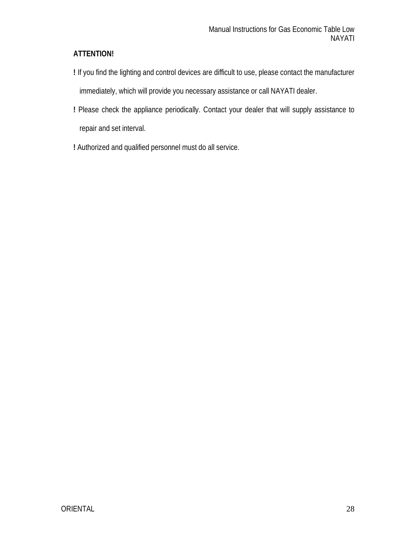## **ATTENTION!**

- **!** If you find the lighting and control devices are difficult to use, please contact the manufacturer immediately, which will provide you necessary assistance or call NAYATI dealer.
- **!** Please check the appliance periodically. Contact your dealer that will supply assistance to repair and set interval.
- **!** Authorized and qualified personnel must do all service.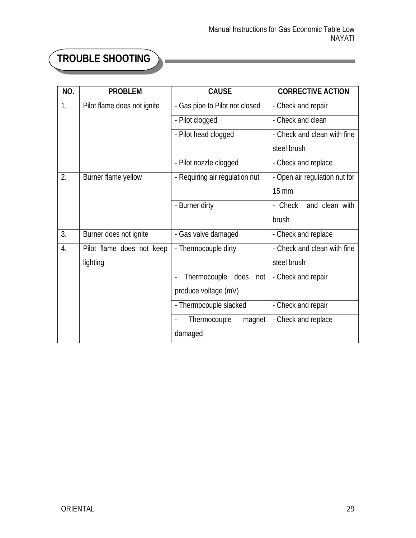ä,

# **TROUBLE SHOOTING**

Ē.

| NO. | <b>PROBLEM</b>              | <b>CAUSE</b>                   | <b>CORRECTIVE ACTION</b>      |
|-----|-----------------------------|--------------------------------|-------------------------------|
| 1.  | Pilot flame does not ignite | - Gas pipe to Pilot not closed | - Check and repair            |
|     |                             | - Pilot clogged                | - Check and clean             |
|     |                             | - Pilot head clogged           | - Check and clean with fine   |
|     |                             |                                | steel brush                   |
|     |                             | - Pilot nozzle clogged         | - Check and replace           |
| 2.  | Burner flame yellow         | - Requiring air regulation nut | - Open air regulation nut for |
|     |                             |                                | $15 \text{ mm}$               |
|     |                             | - Burner dirty                 | - Check<br>and clean with     |
|     |                             |                                | brush                         |
| 3.  | Burner does not ignite      | - Gas valve damaged            | - Check and replace           |
| 4.  | Pilot flame does not keep   | - Thermocouple dirty           | - Check and clean with fine   |
|     | lighting                    |                                | steel brush                   |
|     |                             | Thermocouple does<br>not       | - Check and repair            |
|     |                             | produce voltage (mV)           |                               |
|     |                             | - Thermocouple slacked         | - Check and repair            |
|     |                             | Thermocouple<br>magnet         | - Check and replace           |
|     |                             | damaged                        |                               |